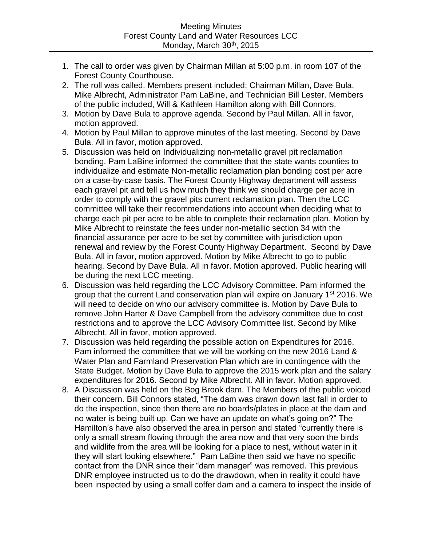- 1. The call to order was given by Chairman Millan at 5:00 p.m. in room 107 of the Forest County Courthouse.
- 2. The roll was called. Members present included; Chairman Millan, Dave Bula, Mike Albrecht, Administrator Pam LaBine, and Technician Bill Lester. Members of the public included, Will & Kathleen Hamilton along with Bill Connors.
- 3. Motion by Dave Bula to approve agenda. Second by Paul Millan. All in favor, motion approved.
- 4. Motion by Paul Millan to approve minutes of the last meeting. Second by Dave Bula. All in favor, motion approved.
- 5. Discussion was held on Individualizing non-metallic gravel pit reclamation bonding. Pam LaBine informed the committee that the state wants counties to individualize and estimate Non-metallic reclamation plan bonding cost per acre on a case-by-case basis. The Forest County Highway department will assess each gravel pit and tell us how much they think we should charge per acre in order to comply with the gravel pits current reclamation plan. Then the LCC committee will take their recommendations into account when deciding what to charge each pit per acre to be able to complete their reclamation plan. Motion by Mike Albrecht to reinstate the fees under non-metallic section 34 with the financial assurance per acre to be set by committee with jurisdiction upon renewal and review by the Forest County Highway Department. Second by Dave Bula. All in favor, motion approved. Motion by Mike Albrecht to go to public hearing. Second by Dave Bula. All in favor. Motion approved. Public hearing will be during the next LCC meeting.
- 6. Discussion was held regarding the LCC Advisory Committee. Pam informed the group that the current Land conservation plan will expire on January  $1<sup>st</sup>$  2016. We will need to decide on who our advisory committee is. Motion by Dave Bula to remove John Harter & Dave Campbell from the advisory committee due to cost restrictions and to approve the LCC Advisory Committee list. Second by Mike Albrecht. All in favor, motion approved.
- 7. Discussion was held regarding the possible action on Expenditures for 2016. Pam informed the committee that we will be working on the new 2016 Land & Water Plan and Farmland Preservation Plan which are in contingence with the State Budget. Motion by Dave Bula to approve the 2015 work plan and the salary expenditures for 2016. Second by Mike Albrecht. All in favor. Motion approved.
- 8. A Discussion was held on the Bog Brook dam. The Members of the public voiced their concern. Bill Connors stated, "The dam was drawn down last fall in order to do the inspection, since then there are no boards/plates in place at the dam and no water is being built up. Can we have an update on what's going on?" The Hamilton's have also observed the area in person and stated "currently there is only a small stream flowing through the area now and that very soon the birds and wildlife from the area will be looking for a place to nest, without water in it they will start looking elsewhere." Pam LaBine then said we have no specific contact from the DNR since their "dam manager" was removed. This previous DNR employee instructed us to do the drawdown, when in reality it could have been inspected by using a small coffer dam and a camera to inspect the inside of